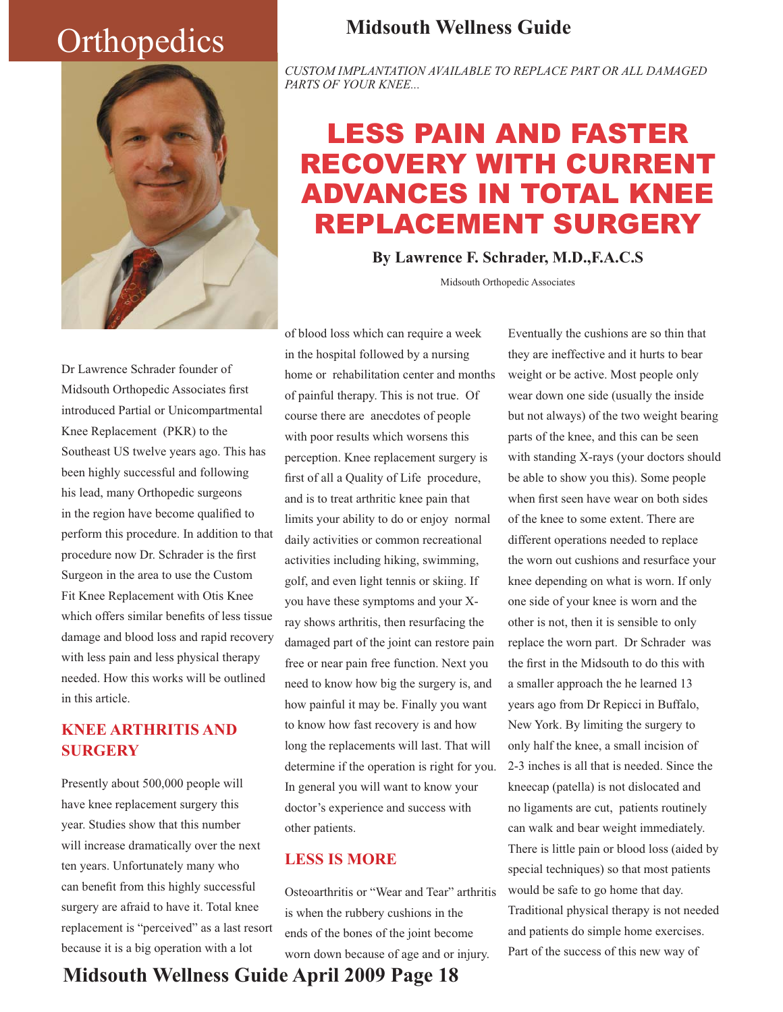# **Orthopedics**



# **Midsouth Wellness Guide**

*CUSTOM IMPLANTATION AVAILABLE TO REPLACE PART OR ALL DAMAGED PARTS OF YOUR KNEE...*

# LESS PAIN AND FASTER RECOVERY WITH CURRENT ADVANCES IN TOTAL KNEE REPLACEMENT SURGERY

**By Lawrence F. Schrader, M.D.,F.A.C.S**

Midsouth Orthopedic Associates

Dr Lawrence Schrader founder of Midsouth Orthopedic Associates first introduced Partial or Unicompartmental Knee Replacement (PKR) to the Southeast US twelve years ago. This has been highly successful and following his lead, many Orthopedic surgeons in the region have become qualified to perform this procedure. In addition to that procedure now Dr. Schrader is the first Surgeon in the area to use the Custom Fit Knee Replacement with Otis Knee which offers similar benefits of less tissue damage and blood loss and rapid recovery with less pain and less physical therapy needed. How this works will be outlined in this article.

## **KNEE ARTHRITIS AND SURGERY**

Presently about 500,000 people will have knee replacement surgery this year. Studies show that this number will increase dramatically over the next ten years. Unfortunately many who can benefit from this highly successful surgery are afraid to have it. Total knee replacement is "perceived" as a last resort because it is a big operation with a lot

of blood loss which can require a week in the hospital followed by a nursing home or rehabilitation center and months of painful therapy. This is not true. Of course there are anecdotes of people with poor results which worsens this perception. Knee replacement surgery is first of all a Quality of Life procedure, and is to treat arthritic knee pain that limits your ability to do or enjoy normal daily activities or common recreational activities including hiking, swimming, golf, and even light tennis or skiing. If you have these symptoms and your Xray shows arthritis, then resurfacing the damaged part of the joint can restore pain free or near pain free function. Next you need to know how big the surgery is, and how painful it may be. Finally you want to know how fast recovery is and how long the replacements will last. That will determine if the operation is right for you. In general you will want to know your doctor's experience and success with other patients.

### **LESS IS MORE**

Osteoarthritis or "Wear and Tear" arthritis is when the rubbery cushions in the ends of the bones of the joint become worn down because of age and or injury.

Eventually the cushions are so thin that they are ineffective and it hurts to bear weight or be active. Most people only wear down one side (usually the inside but not always) of the two weight bearing parts of the knee, and this can be seen with standing X-rays (your doctors should be able to show you this). Some people when first seen have wear on both sides of the knee to some extent. There are different operations needed to replace the worn out cushions and resurface your knee depending on what is worn. If only one side of your knee is worn and the other is not, then it is sensible to only replace the worn part. Dr Schrader was the first in the Midsouth to do this with a smaller approach the he learned 13 years ago from Dr Repicci in Buffalo, New York. By limiting the surgery to only half the knee, a small incision of 2-3 inches is all that is needed. Since the kneecap (patella) is not dislocated and no ligaments are cut, patients routinely can walk and bear weight immediately. There is little pain or blood loss (aided by special techniques) so that most patients would be safe to go home that day. Traditional physical therapy is not needed and patients do simple home exercises. Part of the success of this new way of

# **Midsouth Wellness Guide April 2009 Page 18**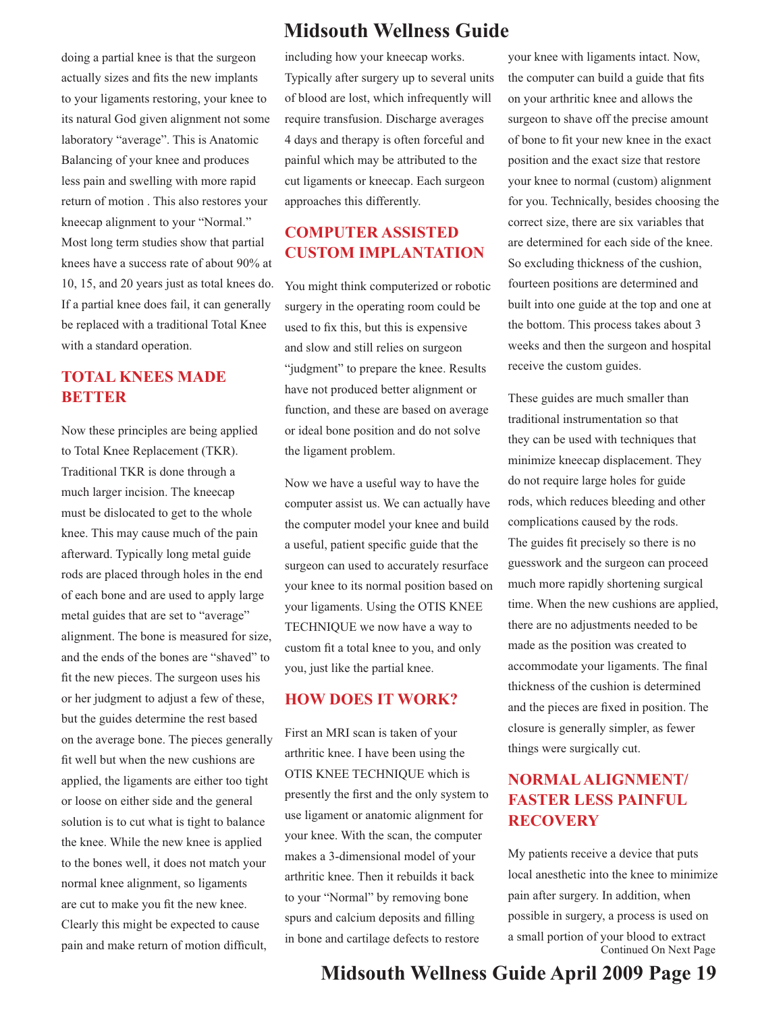doing a partial knee is that the surgeon actually sizes and fits the new implants to your ligaments restoring, your knee to its natural God given alignment not some laboratory "average". This is Anatomic Balancing of your knee and produces less pain and swelling with more rapid return of motion . This also restores your kneecap alignment to your "Normal." Most long term studies show that partial knees have a success rate of about 90% at 10, 15, and 20 years just as total knees do. If a partial knee does fail, it can generally be replaced with a traditional Total Knee with a standard operation.

### **TOTAL KNEES MADE BETTER**

Now these principles are being applied to Total Knee Replacement (TKR). Traditional TKR is done through a much larger incision. The kneecap must be dislocated to get to the whole knee. This may cause much of the pain afterward. Typically long metal guide rods are placed through holes in the end of each bone and are used to apply large metal guides that are set to "average" alignment. The bone is measured for size, and the ends of the bones are "shaved" to fit the new pieces. The surgeon uses his or her judgment to adjust a few of these, but the guides determine the rest based on the average bone. The pieces generally fit well but when the new cushions are applied, the ligaments are either too tight or loose on either side and the general solution is to cut what is tight to balance the knee. While the new knee is applied to the bones well, it does not match your normal knee alignment, so ligaments are cut to make you fit the new knee. Clearly this might be expected to cause pain and make return of motion difficult,

# **Midsouth Wellness Guide**

including how your kneecap works. Typically after surgery up to several units of blood are lost, which infrequently will require transfusion. Discharge averages 4 days and therapy is often forceful and painful which may be attributed to the cut ligaments or kneecap. Each surgeon approaches this differently.

## **COMPUTER ASSISTED CUSTOM IMPLANTATION**

You might think computerized or robotic surgery in the operating room could be used to fix this, but this is expensive and slow and still relies on surgeon "judgment" to prepare the knee. Results have not produced better alignment or function, and these are based on average or ideal bone position and do not solve the ligament problem.

Now we have a useful way to have the computer assist us. We can actually have the computer model your knee and build a useful, patient specific guide that the surgeon can used to accurately resurface your knee to its normal position based on your ligaments. Using the OTIS KNEE TECHNIQUE we now have a way to custom fit a total knee to you, and only you, just like the partial knee.

#### **HOW DOES IT WORK?**

First an MRI scan is taken of your arthritic knee. I have been using the OTIS KNEE TECHNIQUE which is presently the first and the only system to use ligament or anatomic alignment for your knee. With the scan, the computer makes a 3-dimensional model of your arthritic knee. Then it rebuilds it back to your "Normal" by removing bone spurs and calcium deposits and filling in bone and cartilage defects to restore

your knee with ligaments intact. Now, the computer can build a guide that fits on your arthritic knee and allows the surgeon to shave off the precise amount of bone to fit your new knee in the exact position and the exact size that restore your knee to normal (custom) alignment for you. Technically, besides choosing the correct size, there are six variables that are determined for each side of the knee. So excluding thickness of the cushion, fourteen positions are determined and built into one guide at the top and one at the bottom. This process takes about 3 weeks and then the surgeon and hospital receive the custom guides.

These guides are much smaller than traditional instrumentation so that they can be used with techniques that minimize kneecap displacement. They do not require large holes for guide rods, which reduces bleeding and other complications caused by the rods. The guides fit precisely so there is no guesswork and the surgeon can proceed much more rapidly shortening surgical time. When the new cushions are applied, there are no adjustments needed to be made as the position was created to accommodate your ligaments. The final thickness of the cushion is determined and the pieces are fixed in position. The closure is generally simpler, as fewer things were surgically cut.

## **NORMAL ALIGNMENT/ FASTER LESS PAINFUL RECOVERY**

My patients receive a device that puts local anesthetic into the knee to minimize pain after surgery. In addition, when possible in surgery, a process is used on a small portion of your blood to extract Continued On Next Page